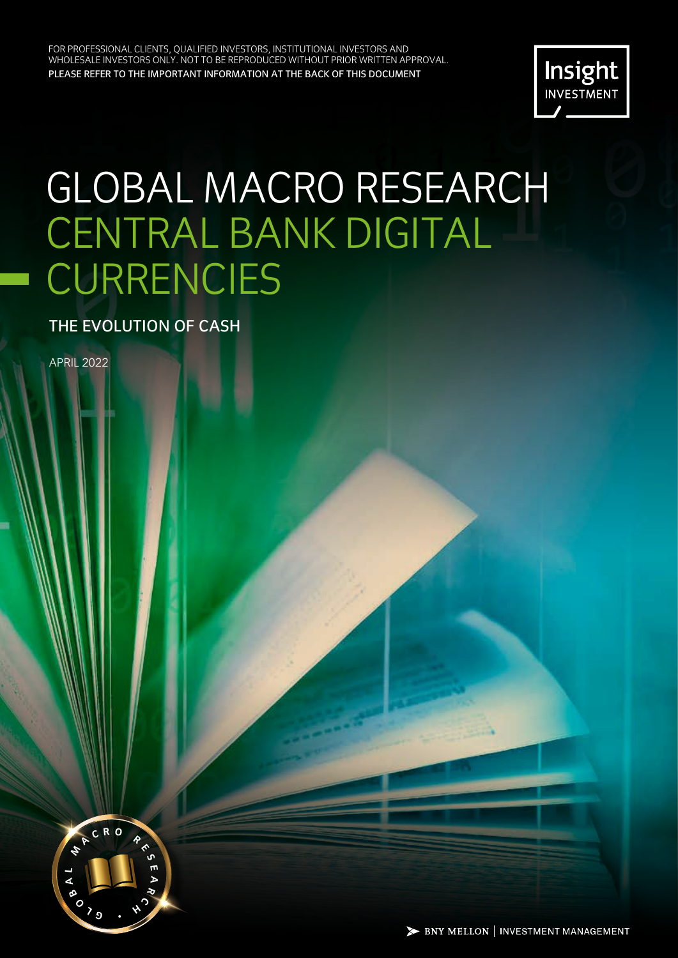FOR PROFESSIONAL CLIENTS, QUALIFIED INVESTORS, INSTITUTIONAL INVESTORS AND WHOLESALE INVESTORS ONLY. NOT TO BE REPRODUCED WITHOUT PRIOR WRITTEN APPROVAL. PLEASE REFER TO THE IMPORTANT INFORMATION AT THE BACK OF THIS DOCUMENT.



# GLOBAL MACRO RESEARCH CENTRAL BANK DIGITAL **CURRENCIES**

THE EVOLUTION OF CASH

APRIL 2022

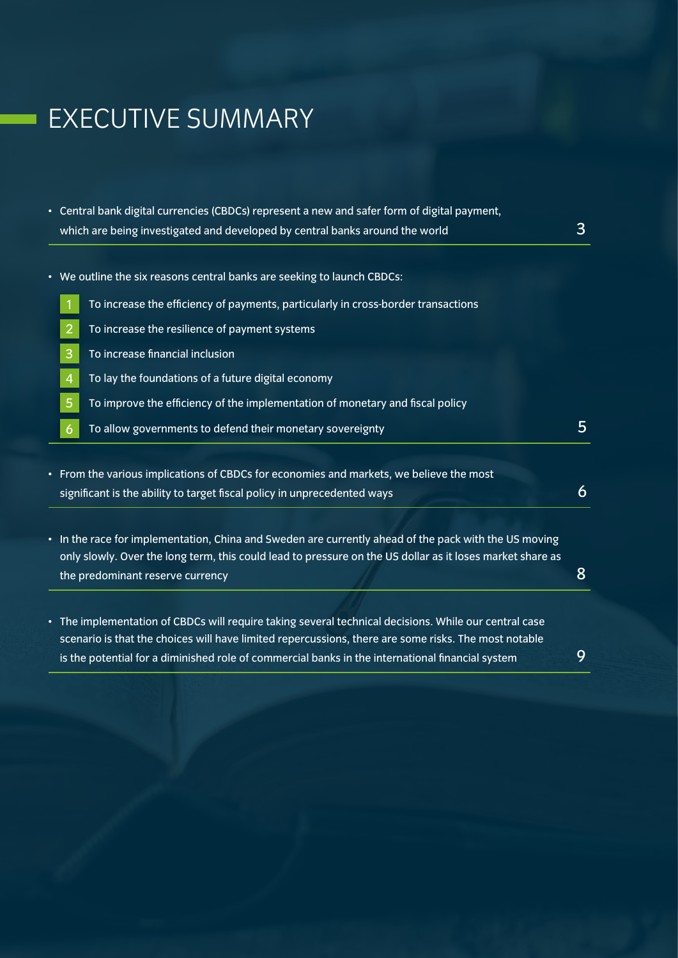# EXECUTIVE SUMMARY

- Central bank digital currencies (CBDCs) represent a new and safer form of digital payment, which are being investigated and developed by central banks around the world  $3$
- We outline the six reasons central banks are seeking to launch CBDCs:
	- 1 To increase the efficiency of payments, particularly in cross-border transactions
	- 2 To increase the resilience of payment systems
	- 3 To increase financial inclusion
	- 4 To lay the foundations of a future digital economy
	- 5 To improve the efficiency of the implementation of monetary and fiscal policy
	- $\overline{6}$  To allow governments to defend their monetary sovereignty 5
- From the various implications of CBDCs for economies and markets, we believe the most significant is the ability to target fiscal policy in unprecedented ways  $\overline{6}$
- In the race for implementation, China and Sweden are currently ahead of the pack with the US moving only slowly. Over the long term, this could lead to pressure on the US dollar as it loses market share as the predominant reserve currency and the set of the set of the set of the set of the set of the set of the set o
- The implementation of CBDCs will require taking several technical decisions. While our central case scenario is that the choices will have limited repercussions, there are some risks. The most notable is the potential for a diminished role of commercial banks in the international financial system  $9$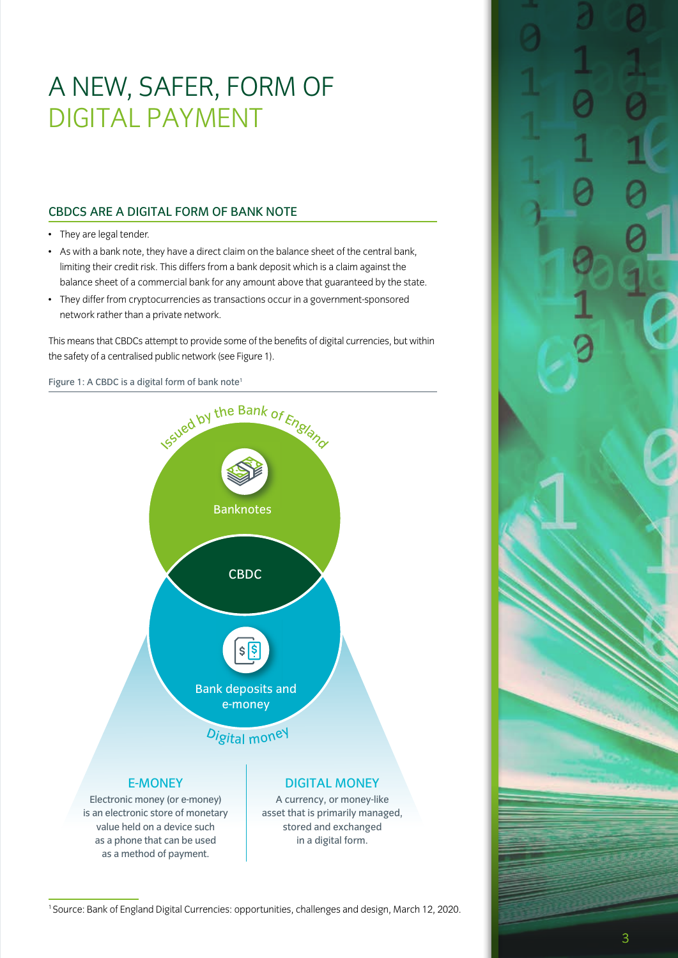# A NEW, SAFER, FORM OF DIGITAL PAYMENT

### CBDCS ARE A DIGITAL FORM OF BANK NOTE

- They are legal tender.
- As with a bank note, they have a direct claim on the balance sheet of the central bank, limiting their credit risk. This differs from a bank deposit which is a claim against the balance sheet of a commercial bank for any amount above that guaranteed by the state.
- They differ from cryptocurrencies as transactions occur in a government-sponsored network rather than a private network.

This means that CBDCs attempt to provide some of the benefits of digital currencies, but within the safety of a centralised public network (see Figure 1).

Figure 1: A CBDC is a digital form of bank note<sup>1</sup>



1 Source: Bank of England Digital Currencies: opportunities, challenges and design, March 12, 2020.

3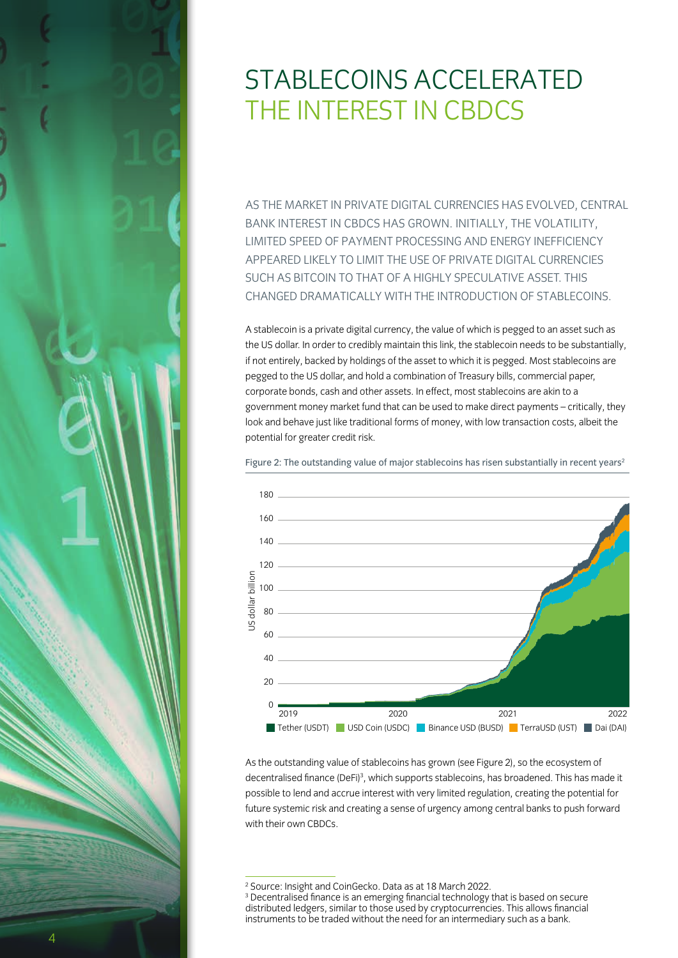# STABLECOINS ACCELERATED THE INTEREST IN CBDCS

AS THE MARKET IN PRIVATE DIGITAL CURRENCIES HAS EVOLVED, CENTRAL BANK INTEREST IN CBDCS HAS GROWN. INITIALLY, THE VOLATILITY, LIMITED SPEED OF PAYMENT PROCESSING AND ENERGY INEFFICIENCY APPEARED LIKELY TO LIMIT THE USE OF PRIVATE DIGITAL CURRENCIES SUCH AS BITCOIN TO THAT OF A HIGHLY SPECULATIVE ASSET. THIS CHANGED DRAMATICALLY WITH THE INTRODUCTION OF STABLECOINS.

A stablecoin is a private digital currency, the value of which is pegged to an asset such as the US dollar. In order to credibly maintain this link, the stablecoin needs to be substantially, if not entirely, backed by holdings of the asset to which it is pegged. Most stablecoins are pegged to the US dollar, and hold a combination of Treasury bills, commercial paper, corporate bonds, cash and other assets. In effect, most stablecoins are akin to a government money market fund that can be used to make direct payments – critically, they look and behave just like traditional forms of money, with low transaction costs, albeit the potential for greater credit risk.

Figure 2: The outstanding value of major stablecoins has risen substantially in recent years<sup>2</sup>



As the outstanding value of stablecoins has grown (see Figure 2), so the ecosystem of decentralised finance (DeFi)<sup>3</sup>, which supports stablecoins, has broadened. This has made it possible to lend and accrue interest with very limited regulation, creating the potential for future systemic risk and creating a sense of urgency among central banks to push forward with their own CBDCs.

<sup>2</sup> Source: Insight and CoinGecko. Data as at 18 March 2022.

<sup>&</sup>lt;sup>3</sup> Decentralised finance is an emerging financial technology that is based on secure distributed ledgers, similar to those used by cryptocurrencies. This allows financial instruments to be traded without the need for an intermediary such as a bank.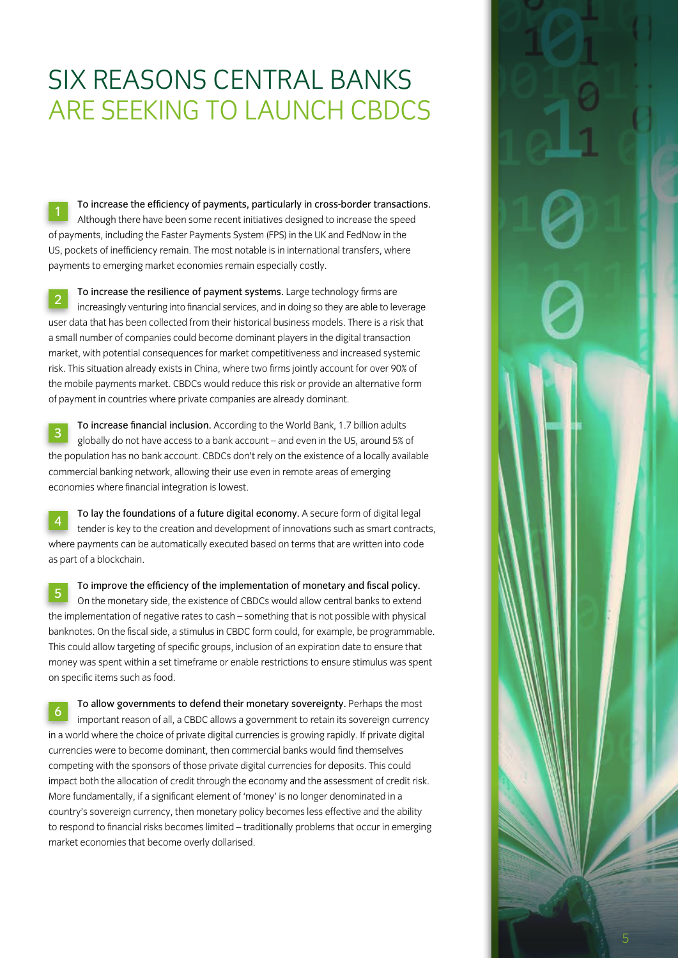### SIX REASONS CENTRAL BANKS ARE SEEKING TO LAUNCH CBDCS

<sup>1</sup> To increase the efficiency of payments, particularly in cross-border transactions. Although there have been some recent initiatives designed to increase the speed of payments, including the Faster Payments System (FPS) in the UK and FedNow in the US, pockets of inefficiency remain. The most notable is in international transfers, where payments to emerging market economies remain especially costly.

2 To increase the resilience of payment systems. Large technology firms are increasingly venturing into financial services, and in doing so they are able to leverage user data that has been collected from their historical business models. There is a risk that a small number of companies could become dominant players in the digital transaction market, with potential consequences for market competitiveness and increased systemic risk. This situation already exists in China, where two firms jointly account for over 90% of the mobile payments market. CBDCs would reduce this risk or provide an alternative form of payment in countries where private companies are already dominant.

<sup>3</sup> To increase financial inclusion. According to the World Bank, 1.7 billion adults globally do not have access to a bank account – and even in the US, around 5% of the population has no bank account. CBDCs don't rely on the existence of a locally available commercial banking network, allowing their use even in remote areas of emerging economies where financial integration is lowest.

<sup>4</sup> To lay the foundations of a future digital economy. A secure form of digital legal tender is key to the creation and development of innovations such as smart contracts, where payments can be automatically executed based on terms that are written into code as part of a blockchain.

<sup>5</sup> To improve the efficiency of the implementation of monetary and fiscal policy. On the monetary side, the existence of CBDCs would allow central banks to extend the implementation of negative rates to cash – something that is not possible with physical banknotes. On the fiscal side, a stimulus in CBDC form could, for example, be programmable. This could allow targeting of specific groups, inclusion of an expiration date to ensure that money was spent within a set timeframe or enable restrictions to ensure stimulus was spent on specific items such as food.

<sup>6</sup> To allow governments to defend their monetary sovereignty. Perhaps the most important reason of all, a CBDC allows a government to retain its sovereign currency in a world where the choice of private digital currencies is growing rapidly. If private digital currencies were to become dominant, then commercial banks would find themselves competing with the sponsors of those private digital currencies for deposits. This could impact both the allocation of credit through the economy and the assessment of credit risk. More fundamentally, if a significant element of 'money' is no longer denominated in a country's sovereign currency, then monetary policy becomes less effective and the ability to respond to financial risks becomes limited – traditionally problems that occur in emerging market economies that become overly dollarised.

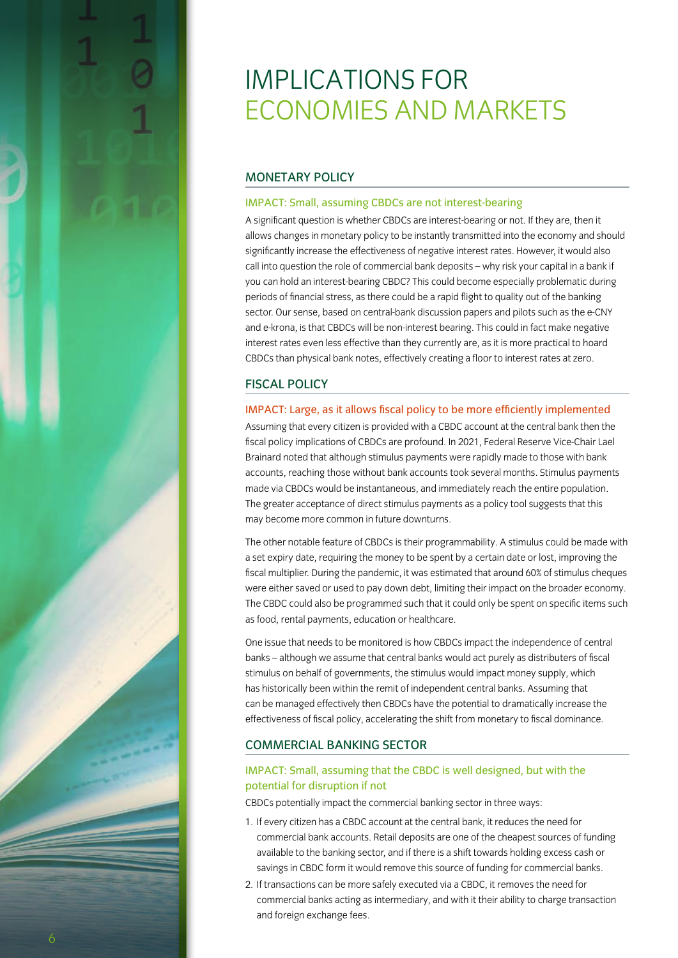# IMPLICATIONS FOR ECONOMIES AND MARKETS

### MONETARY POLICY

#### IMPACT: Small, assuming CBDCs are not interest-bearing

A significant question is whether CBDCs are interest-bearing or not. If they are, then it allows changes in monetary policy to be instantly transmitted into the economy and should significantly increase the effectiveness of negative interest rates. However, it would also call into question the role of commercial bank deposits – why risk your capital in a bank if you can hold an interest-bearing CBDC? This could become especially problematic during periods of financial stress, as there could be a rapid flight to quality out of the banking sector. Our sense, based on central-bank discussion papers and pilots such as the e-CNY and e-krona, is that CBDCs will be non-interest bearing. This could in fact make negative interest rates even less effective than they currently are, as it is more practical to hoard CBDCs than physical bank notes, effectively creating a floor to interest rates at zero.

### FISCAL POLICY

#### IMPACT: Large, as it allows fiscal policy to be more efficiently implemented

Assuming that every citizen is provided with a CBDC account at the central bank then the fiscal policy implications of CBDCs are profound. In 2021, Federal Reserve Vice-Chair Lael Brainard noted that although stimulus payments were rapidly made to those with bank accounts, reaching those without bank accounts took several months. Stimulus payments made via CBDCs would be instantaneous, and immediately reach the entire population. The greater acceptance of direct stimulus payments as a policy tool suggests that this may become more common in future downturns.

The other notable feature of CBDCs is their programmability. A stimulus could be made with a set expiry date, requiring the money to be spent by a certain date or lost, improving the fiscal multiplier. During the pandemic, it was estimated that around 60% of stimulus cheques were either saved or used to pay down debt, limiting their impact on the broader economy. The CBDC could also be programmed such that it could only be spent on specific items such as food, rental payments, education or healthcare.

One issue that needs to be monitored is how CBDCs impact the independence of central banks – although we assume that central banks would act purely as distributers of fiscal stimulus on behalf of governments, the stimulus would impact money supply, which has historically been within the remit of independent central banks. Assuming that can be managed effectively then CBDCs have the potential to dramatically increase the effectiveness of fiscal policy, accelerating the shift from monetary to fiscal dominance.

### COMMERCIAL BANKING SECTOR

### IMPACT: Small, assuming that the CBDC is well designed, but with the potential for disruption if not

CBDCs potentially impact the commercial banking sector in three ways:

- 1. If every citizen has a CBDC account at the central bank, it reduces the need for commercial bank accounts. Retail deposits are one of the cheapest sources of funding available to the banking sector, and if there is a shift towards holding excess cash or savings in CBDC form it would remove this source of funding for commercial banks.
- 2. If transactions can be more safely executed via a CBDC, it removes the need for commercial banks acting as intermediary, and with it their ability to charge transaction and foreign exchange fees.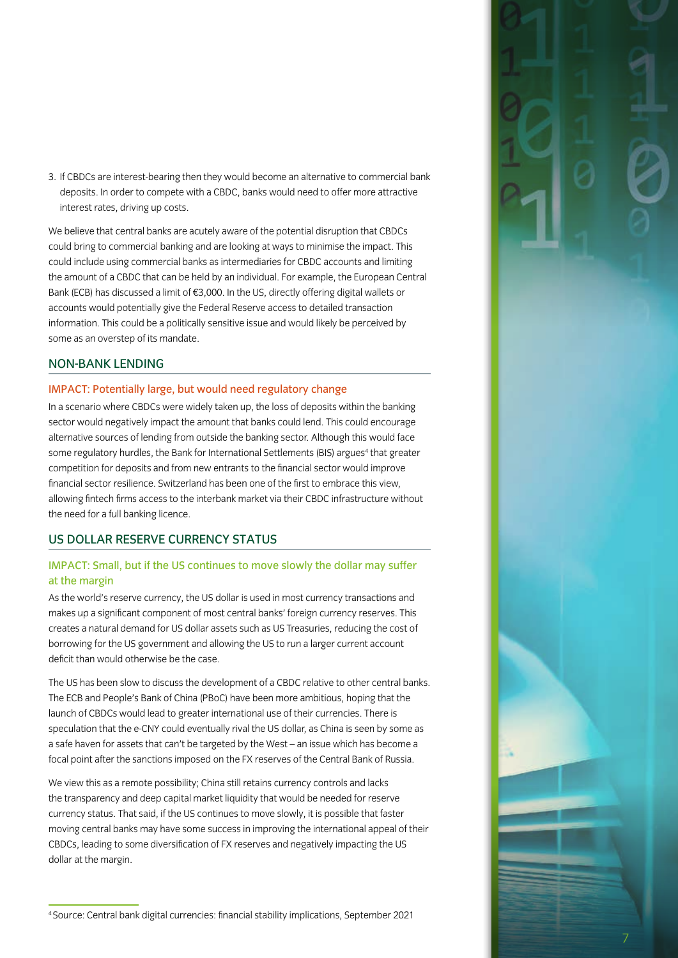3. If CBDCs are interest-bearing then they would become an alternative to commercial bank deposits. In order to compete with a CBDC, banks would need to offer more attractive interest rates, driving up costs.

We believe that central banks are acutely aware of the potential disruption that CBDCs could bring to commercial banking and are looking at ways to minimise the impact. This could include using commercial banks as intermediaries for CBDC accounts and limiting the amount of a CBDC that can be held by an individual. For example, the European Central Bank (ECB) has discussed a limit of €3,000. In the US, directly offering digital wallets or accounts would potentially give the Federal Reserve access to detailed transaction information. This could be a politically sensitive issue and would likely be perceived by some as an overstep of its mandate.

#### NON-BANK LENDING

#### IMPACT: Potentially large, but would need regulatory change

In a scenario where CBDCs were widely taken up, the loss of deposits within the banking sector would negatively impact the amount that banks could lend. This could encourage alternative sources of lending from outside the banking sector. Although this would face some regulatory hurdles, the Bank for International Settlements (BIS) argues<sup>4</sup> that greater competition for deposits and from new entrants to the financial sector would improve financial sector resilience. Switzerland has been one of the first to embrace this view, allowing fintech firms access to the interbank market via their CBDC infrastructure without the need for a full banking licence.

### US DOLLAR RESERVE CURRENCY STATUS

### IMPACT: Small, but if the US continues to move slowly the dollar may suffer at the margin

As the world's reserve currency, the US dollar is used in most currency transactions and makes up a significant component of most central banks' foreign currency reserves. This creates a natural demand for US dollar assets such as US Treasuries, reducing the cost of borrowing for the US government and allowing the US to run a larger current account deficit than would otherwise be the case.

The US has been slow to discuss the development of a CBDC relative to other central banks. The ECB and People's Bank of China (PBoC) have been more ambitious, hoping that the launch of CBDCs would lead to greater international use of their currencies. There is speculation that the e-CNY could eventually rival the US dollar, as China is seen by some as a safe haven for assets that can't be targeted by the West – an issue which has become a focal point after the sanctions imposed on the FX reserves of the Central Bank of Russia.

We view this as a remote possibility; China still retains currency controls and lacks the transparency and deep capital market liquidity that would be needed for reserve currency status. That said, if the US continues to move slowly, it is possible that faster moving central banks may have some success in improving the international appeal of their CBDCs, leading to some diversification of FX reserves and negatively impacting the US dollar at the margin.

7

<sup>4</sup> Source: Central bank digital currencies: financial stability implications, September 2021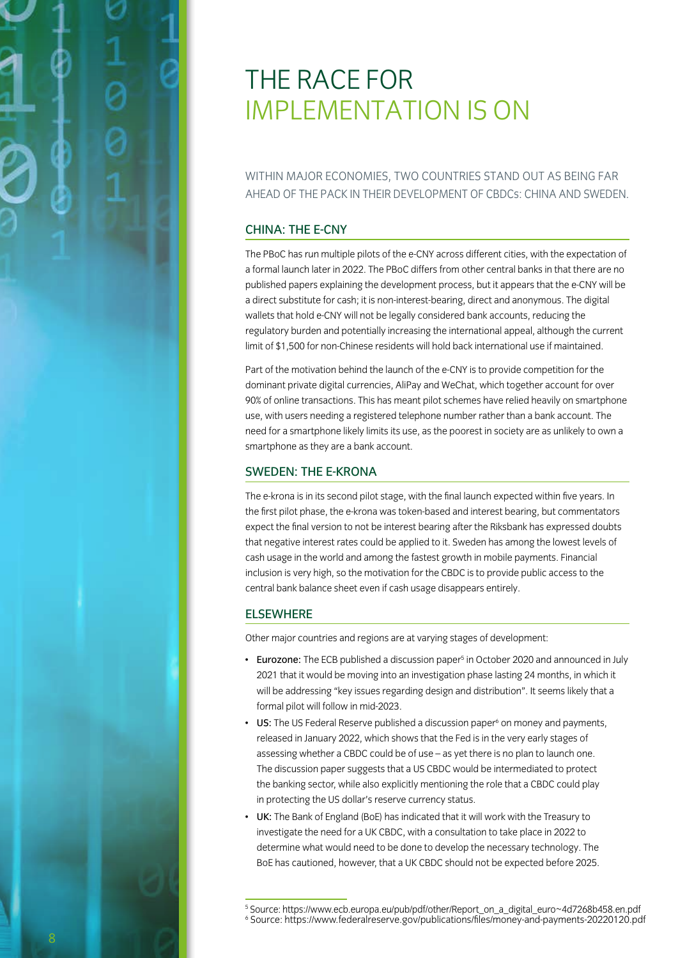# THE RACE FOR IMPLEMENTATION IS ON

WITHIN MAJOR ECONOMIES, TWO COUNTRIES STAND OUT AS BEING FAR AHEAD OF THE PACK IN THEIR DEVELOPMENT OF CBDCs: CHINA AND SWEDEN.

#### CHINA: THE E-CNY

The PBoC has run multiple pilots of the e-CNY across different cities, with the expectation of a formal launch later in 2022. The PBoC differs from other central banks in that there are no published papers explaining the development process, but it appears that the e-CNY will be a direct substitute for cash; it is non-interest-bearing, direct and anonymous. The digital wallets that hold e-CNY will not be legally considered bank accounts, reducing the regulatory burden and potentially increasing the international appeal, although the current limit of \$1,500 for non-Chinese residents will hold back international use if maintained.

Part of the motivation behind the launch of the e-CNY is to provide competition for the dominant private digital currencies, AliPay and WeChat, which together account for over 90% of online transactions. This has meant pilot schemes have relied heavily on smartphone use, with users needing a registered telephone number rather than a bank account. The need for a smartphone likely limits its use, as the poorest in society are as unlikely to own a smartphone as they are a bank account.

### SWEDEN: THE E-KRONA

The e-krona is in its second pilot stage, with the final launch expected within five years. In the first pilot phase, the e-krona was token-based and interest bearing, but commentators expect the final version to not be interest bearing after the Riksbank has expressed doubts that negative interest rates could be applied to it. Sweden has among the lowest levels of cash usage in the world and among the fastest growth in mobile payments. Financial inclusion is very high, so the motivation for the CBDC is to provide public access to the central bank balance sheet even if cash usage disappears entirely.

#### ELSEWHERE

Other major countries and regions are at varying stages of development:

- Eurozone: The ECB published a discussion paper<sup>5</sup> in October 2020 and announced in July 2021 that it would be moving into an investigation phase lasting 24 months, in which it will be addressing "key issues regarding design and distribution". It seems likely that a formal pilot will follow in mid-2023.
- US: The US Federal Reserve published a discussion paper<sup>6</sup> on money and payments, released in January 2022, which shows that the Fed is in the very early stages of assessing whether a CBDC could be of use – as yet there is no plan to launch one. The discussion paper suggests that a US CBDC would be intermediated to protect the banking sector, while also explicitly mentioning the role that a CBDC could play in protecting the US dollar's reserve currency status.
- UK: The Bank of England (BoE) has indicated that it will work with the Treasury to investigate the need for a UK CBDC, with a consultation to take place in 2022 to determine what would need to be done to develop the necessary technology. The BoE has cautioned, however, that a UK CBDC should not be expected before 2025.

<sup>5</sup> Source: https://www.ecb.europa.eu/pub/pdf/other/Report\_on\_a\_digital\_euro~4d7268b458.en.pdf 6 Source: https://www.federalreserve.gov/publications/files/money-and-payments-20220120.pdf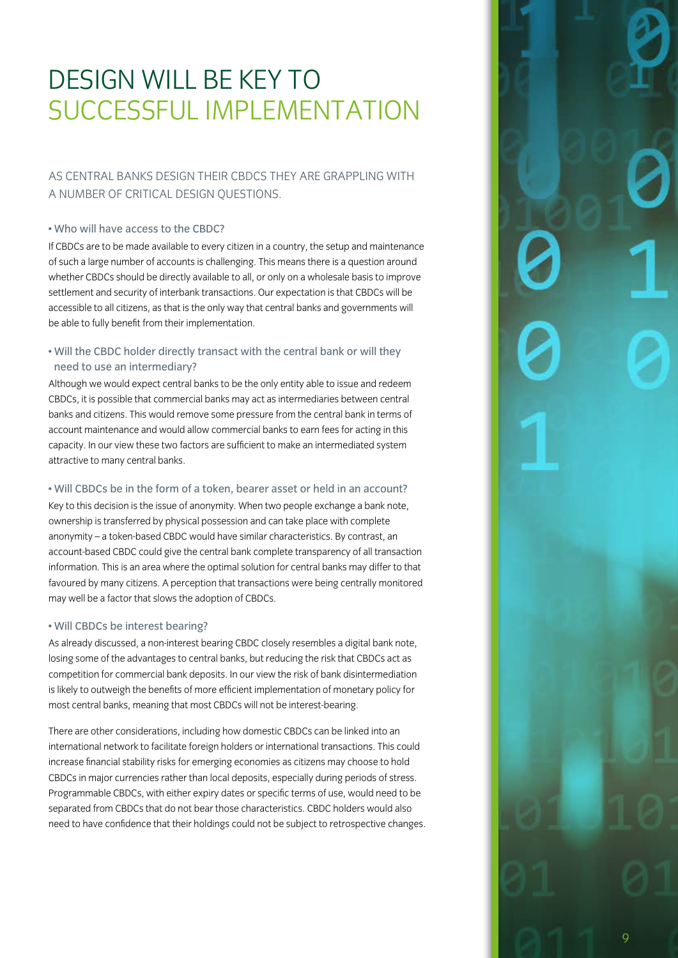# DESIGN WILL BE KEY TO SUCCESSFUL IMPLEMENTATION

### AS CENTRAL BANKS DESIGN THEIR CBDCS THEY ARE GRAPPLING WITH A NUMBER OF CRITICAL DESIGN QUESTIONS.

#### • Who will have access to the CBDC?

If CBDCs are to be made available to every citizen in a country, the setup and maintenance of such a large number of accounts is challenging. This means there is a question around whether CBDCs should be directly available to all, or only on a wholesale basis to improve settlement and security of interbank transactions. Our expectation is that CBDCs will be accessible to all citizens, as that is the only way that central banks and governments will be able to fully benefit from their implementation.

### • Will the CBDC holder directly transact with the central bank or will they need to use an intermediary?

Although we would expect central banks to be the only entity able to issue and redeem CBDCs, it is possible that commercial banks may act as intermediaries between central banks and citizens. This would remove some pressure from the central bank in terms of account maintenance and would allow commercial banks to earn fees for acting in this capacity. In our view these two factors are sufficient to make an intermediated system attractive to many central banks.

### • Will CBDCs be in the form of a token, bearer asset or held in an account?

Key to this decision is the issue of anonymity. When two people exchange a bank note, ownership is transferred by physical possession and can take place with complete anonymity – a token-based CBDC would have similar characteristics. By contrast, an account-based CBDC could give the central bank complete transparency of all transaction information. This is an area where the optimal solution for central banks may differ to that favoured by many citizens. A perception that transactions were being centrally monitored may well be a factor that slows the adoption of CBDCs.

### • Will CBDCs be interest bearing?

As already discussed, a non-interest bearing CBDC closely resembles a digital bank note, losing some of the advantages to central banks, but reducing the risk that CBDCs act as competition for commercial bank deposits. In our view the risk of bank disintermediation is likely to outweigh the benefits of more efficient implementation of monetary policy for most central banks, meaning that most CBDCs will not be interest-bearing.

There are other considerations, including how domestic CBDCs can be linked into an international network to facilitate foreign holders or international transactions. This could increase financial stability risks for emerging economies as citizens may choose to hold CBDCs in major currencies rather than local deposits, especially during periods of stress. Programmable CBDCs, with either expiry dates or specific terms of use, would need to be separated from CBDCs that do not bear those characteristics. CBDC holders would also need to have confidence that their holdings could not be subject to retrospective changes.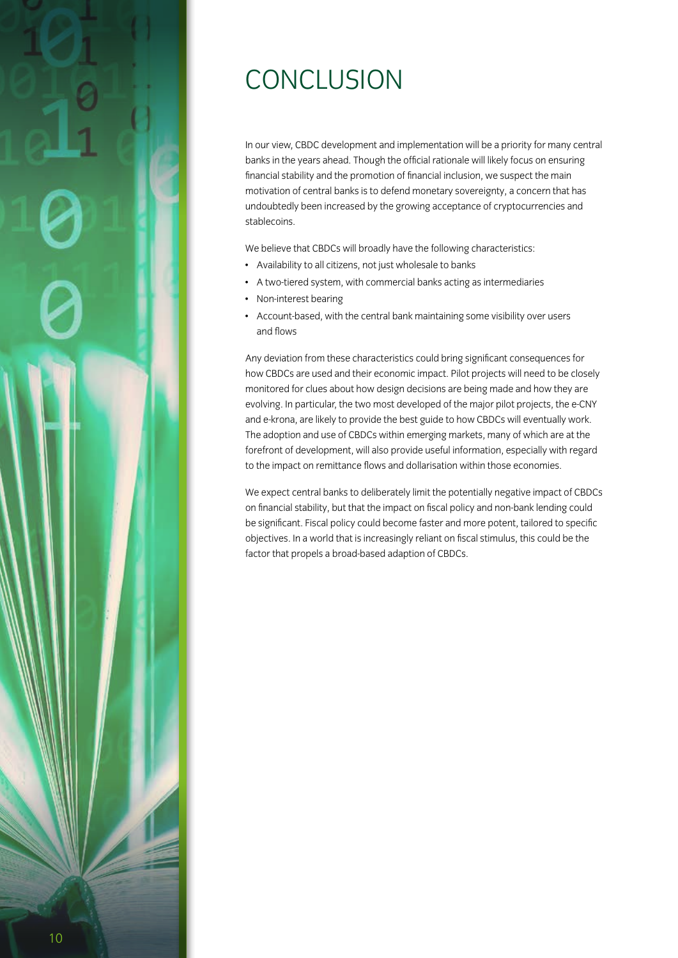# **CONCLUSION**

In our view, CBDC development and implementation will be a priority for many central banks in the years ahead. Though the official rationale will likely focus on ensuring financial stability and the promotion of financial inclusion, we suspect the main motivation of central banks is to defend monetary sovereignty, a concern that has undoubtedly been increased by the growing acceptance of cryptocurrencies and stablecoins.

We believe that CBDCs will broadly have the following characteristics:

- Availability to all citizens, not just wholesale to banks
- A two-tiered system, with commercial banks acting as intermediaries
- Non-interest bearing
- Account-based, with the central bank maintaining some visibility over users and flows

Any deviation from these characteristics could bring significant consequences for how CBDCs are used and their economic impact. Pilot projects will need to be closely monitored for clues about how design decisions are being made and how they are evolving. In particular, the two most developed of the major pilot projects, the e-CNY and e-krona, are likely to provide the best guide to how CBDCs will eventually work. The adoption and use of CBDCs within emerging markets, many of which are at the forefront of development, will also provide useful information, especially with regard to the impact on remittance flows and dollarisation within those economies.

We expect central banks to deliberately limit the potentially negative impact of CBDCs on financial stability, but that the impact on fiscal policy and non-bank lending could be significant. Fiscal policy could become faster and more potent, tailored to specific objectives. In a world that is increasingly reliant on fiscal stimulus, this could be the factor that propels a broad-based adaption of CBDCs.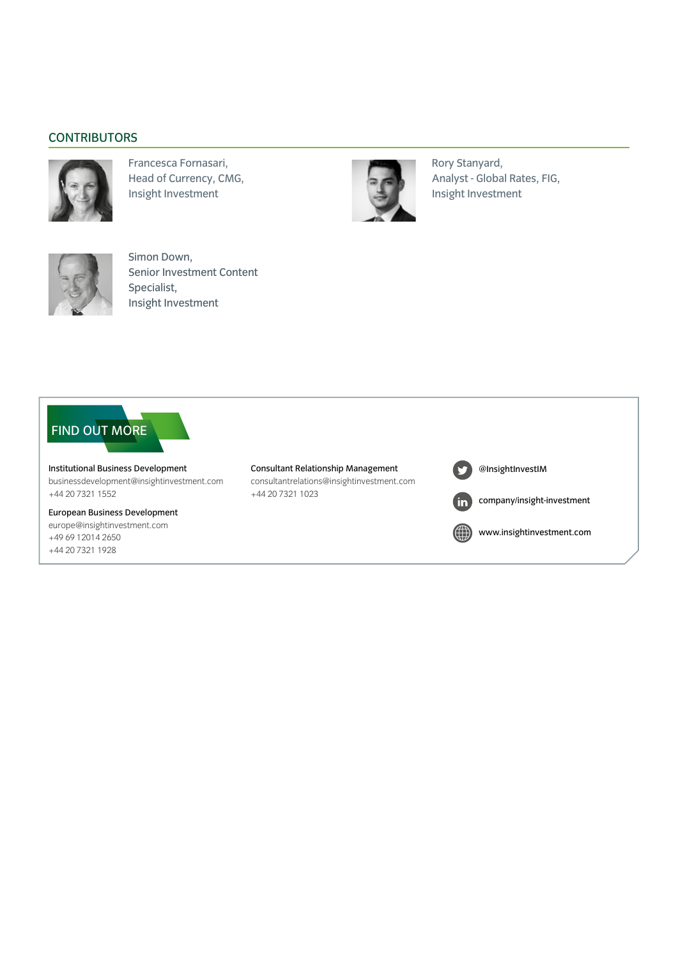### **CONTRIBUTORS**



Francesca Fornasari, Head of Currency, CMG, Insight Investment



Rory Stanyard, Analyst - Global Rates, FIG, Insight Investment



Simon Down, Senior Investment Content Specialist, Insight Investment